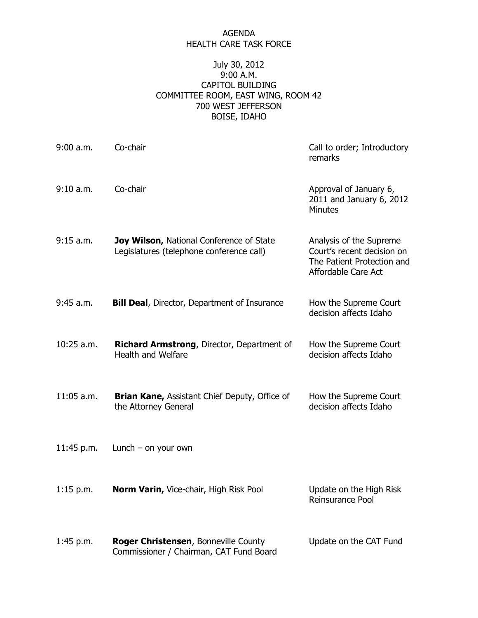#### AGENDA HEALTH CARE TASK FORCE

## July 30, 2012 9:00 A.M. CAPITOL BUILDING COMMITTEE ROOM, EAST WING, ROOM 42 700 WEST JEFFERSON BOISE, IDAHO

| $9:00$ a.m.  | Co-chair                                                                             | Call to order; Introductory<br>remarks                                                                     |
|--------------|--------------------------------------------------------------------------------------|------------------------------------------------------------------------------------------------------------|
| 9:10 a.m.    | Co-chair                                                                             | Approval of January 6,<br>2011 and January 6, 2012<br><b>Minutes</b>                                       |
| $9:15$ a.m.  | Joy Wilson, National Conference of State<br>Legislatures (telephone conference call) | Analysis of the Supreme<br>Court's recent decision on<br>The Patient Protection and<br>Affordable Care Act |
| 9:45 a.m.    | <b>Bill Deal, Director, Department of Insurance</b>                                  | How the Supreme Court<br>decision affects Idaho                                                            |
| $10:25$ a.m. | Richard Armstrong, Director, Department of<br><b>Health and Welfare</b>              | How the Supreme Court<br>decision affects Idaho                                                            |
| $11:05$ a.m. | <b>Brian Kane, Assistant Chief Deputy, Office of</b><br>the Attorney General         | How the Supreme Court<br>decision affects Idaho                                                            |
| 11:45 p.m.   | Lunch $-$ on your own                                                                |                                                                                                            |
| 1:15 p.m.    | Norm Varin, Vice-chair, High Risk Pool                                               | Update on the High Risk<br>Reinsurance Pool                                                                |
| $1:45$ p.m.  | Roger Christensen, Bonneville County<br>Commissioner / Chairman, CAT Fund Board      | Update on the CAT Fund                                                                                     |